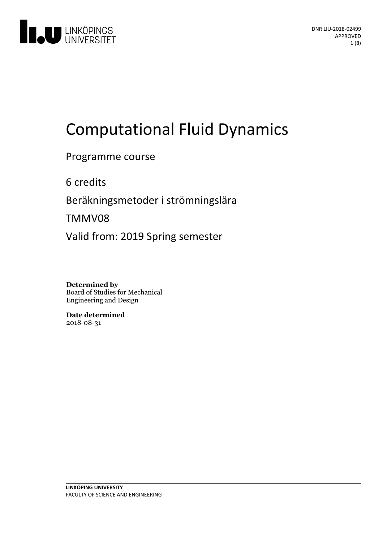

# **Computational Fluid Dynamics**

Programme course

6 credits

Beräkningsmetoder i strömningslära

TMMV08

Valid from: 2019 Spring semester

**Determined by** Board of Studies for Mechanical Engineering and Design

**Date determined** 2018-08-31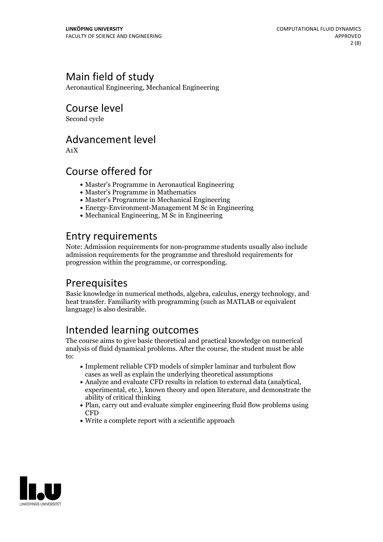# Main field of study

Aeronautical Engineering, Mechanical Engineering

# Course level

Second cycle

### Advancement level

A1X

### Course offered for

- Master's Programme in Aeronautical Engineering
- Master's Programme in Mathematics
- Master's Programme in Mechanical Engineering
- Energy-Environment-Management M Sc in Engineering
- Mechanical Engineering, M Sc in Engineering

### Entry requirements

Note: Admission requirements for non-programme students usually also include admission requirements for the programme and threshold requirements for progression within the programme, or corresponding.

### Prerequisites

Basic knowledge in numerical methods, algebra, calculus, energy technology, and heat transfer. Familiarity with programming (such as MATLAB or equivalent language) is also desirable.

# Intended learning outcomes

The course aims to give basic theoretical and practical knowledge on numerical analysis of fluid dynamical problems. After the course, the student must be able to:

- Implement reliable CFD models of simpler laminar and turbulent flow cases as well as explain the underlying theoretical assumptions
- Analyze and evaluate CFD results in relation to external data (analytical, experimental, etc.), known theory and open literature, and demonstrate the ability of critical thinking
- Plan, carry out and evaluate simpler engineering fluid flow problems using CFD
- Write a complete report with a scientific approach

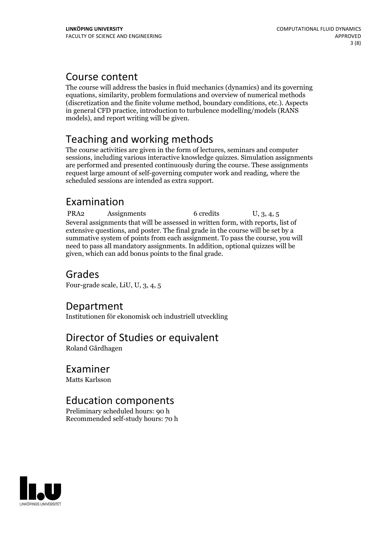### Course content

The course will address the basics in fluid mechanics (dynamics) and its governing equations, similarity, problem formulations and overview of numerical methods (discretization and the finite volume method, boundary conditions, etc.). Aspects in general CFD practice, introduction to turbulence modelling/models (RANS models), and report writing will be given.

# Teaching and working methods

The course activities are given in the form of lectures, seminars and computer sessions, including various interactive knowledge quizzes. Simulation assignments are performed and presented continuously during the course. These assignments request large amount of self-governing computer work and reading, where the scheduled sessions are intended as extra support.

### Examination

PRA2 Assignments 6 credits U, 3, 4, 5 Several assignments that will be assessed in written form, with reports, list of extensive questions, and poster. The final grade in the course will be set by a summative system of points from each assignment. To pass the course, you will need to pass all mandatory assignments. In addition, optional quizzes will be given, which can add bonus points to the final grade.

# Grades

Four-grade scale, LiU, U, 3, 4, 5

### Department

Institutionen för ekonomisk och industriell utveckling

# Director of Studies or equivalent

Roland Gårdhagen

# Examiner

Matts Karlsson

# Education components

Preliminary scheduled hours: 90 h Recommended self-study hours: 70 h

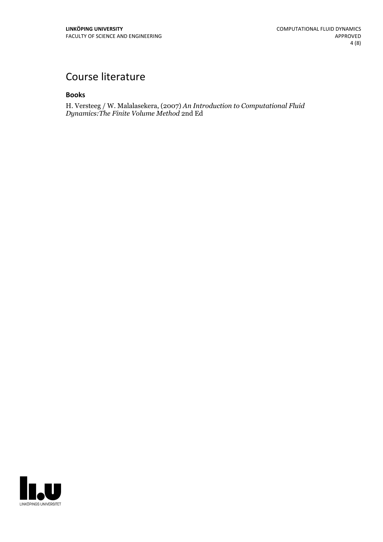# Course literature

### **Books**

H. Versteeg / W. Malalasekera, (2007) *An Introduction to Computational Fluid Dynamics:The Finite Volume Method* 2nd Ed

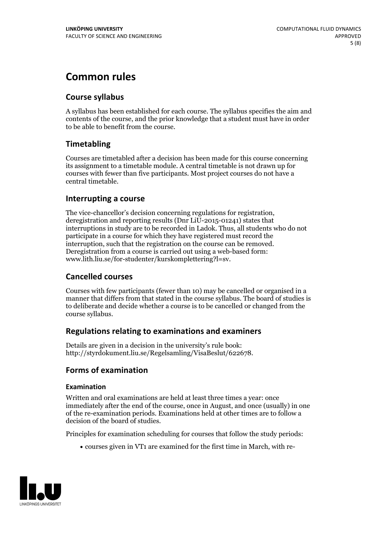# **Common rules**

### **Course syllabus**

A syllabus has been established for each course. The syllabus specifies the aim and contents of the course, and the prior knowledge that a student must have in order to be able to benefit from the course.

### **Timetabling**

Courses are timetabled after a decision has been made for this course concerning its assignment to a timetable module. A central timetable is not drawn up for courses with fewer than five participants. Most project courses do not have a central timetable.

### **Interrupting a course**

The vice-chancellor's decision concerning regulations for registration, deregistration and reporting results (Dnr LiU-2015-01241) states that interruptions in study are to be recorded in Ladok. Thus, all students who do not participate in a course for which they have registered must record the interruption, such that the registration on the course can be removed. Deregistration from <sup>a</sup> course is carried outusing <sup>a</sup> web-based form: www.lith.liu.se/for-studenter/kurskomplettering?l=sv.

### **Cancelled courses**

Courses with few participants (fewer than 10) may be cancelled or organised in a manner that differs from that stated in the course syllabus. The board of studies is to deliberate and decide whether a course is to be cancelled orchanged from the course syllabus.

### **Regulations relatingto examinations and examiners**

Details are given in a decision in the university's rule book: http://styrdokument.liu.se/Regelsamling/VisaBeslut/622678.

### **Forms of examination**

### **Examination**

Written and oral examinations are held at least three times a year: once immediately after the end of the course, once in August, and once (usually) in one of the re-examination periods. Examinations held at other times are to follow a decision of the board of studies.

Principles for examination scheduling for courses that follow the study periods:

courses given in VT1 are examined for the first time in March, with re-

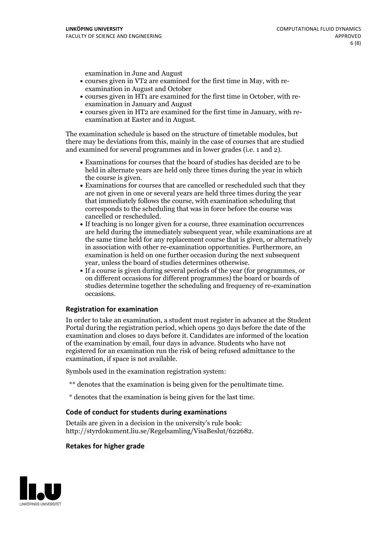examination in June and August

- courses given in VT2 are examined for the first time in May, with re-examination in August and October
- courses given in HT1 are examined for the first time in October, with re-examination in January and August
- courses given in HT2 are examined for the first time in January, with re-examination at Easter and in August.

The examination schedule is based on the structure of timetable modules, but there may be deviations from this, mainly in the case of courses that are studied and examined for several programmes and in lower grades (i.e. 1 and 2).

- Examinations for courses that the board of studies has decided are to be held in alternate years are held only three times during the year in which
- the course is given.<br>• Examinations for courses that are cancelled or rescheduled such that they are not given in one or several years are held three times during the year that immediately follows the course, with examination scheduling that corresponds to the scheduling that was in force before the course was cancelled or rescheduled.<br>• If teaching is no longer given for a course, three examination occurrences
- are held during the immediately subsequent year, while examinations are at the same time held for any replacement course that is given, or alternatively in association with other re-examination opportunities. Furthermore, an examination is held on one further occasion during the next subsequent year, unless the board of studies determines otherwise.<br>• If a course is given during several periods of the year (for programmes, or
- on different occasions for different programmes) the board orboards of studies determine together the scheduling and frequency of re-examination occasions.

#### **Registration for examination**

In order to take an examination, a student must register in advance at the Student Portal during the registration period, which opens 30 days before the date of the examination and closes 10 days before it. Candidates are informed of the location of the examination by email, four days in advance. Students who have not registered for an examination run the risk of being refused admittance to the examination, if space is not available.

Symbols used in the examination registration system:

- \*\* denotes that the examination is being given for the penultimate time.
- \* denotes that the examination is being given for the last time.

#### **Code of conduct for students during examinations**

Details are given in a decision in the university's rule book: http://styrdokument.liu.se/Regelsamling/VisaBeslut/622682.

#### **Retakes for higher grade**

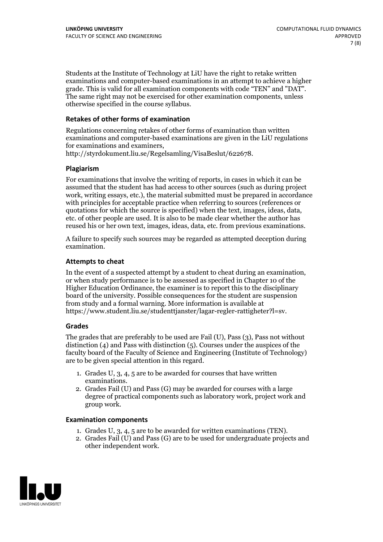Students at the Institute of Technology at LiU have the right to retake written examinations and computer-based examinations in an attempt to achieve a higher grade. This is valid for all examination components with code "TEN" and "DAT". The same right may not be exercised for other examination components, unless otherwise specified in the course syllabus.

#### **Retakes of other forms of examination**

Regulations concerning retakes of other forms of examination than written examinations and computer-based examinations are given in the LiU regulations for examinations and examiners, http://styrdokument.liu.se/Regelsamling/VisaBeslut/622678.

#### **Plagiarism**

For examinations that involve the writing of reports, in cases in which it can be assumed that the student has had access to other sources (such as during project work, writing essays, etc.), the material submitted must be prepared in accordance with principles for acceptable practice when referring to sources (references or quotations for which the source is specified) when the text, images, ideas, data, etc. of other people are used. It is also to be made clear whether the author has reused his or her own text, images, ideas, data, etc. from previous examinations.

A failure to specify such sources may be regarded as attempted deception during examination.

#### **Attempts to cheat**

In the event of <sup>a</sup> suspected attempt by <sup>a</sup> student to cheat during an examination, or when study performance is to be assessed as specified in Chapter <sup>10</sup> of the Higher Education Ordinance, the examiner is to report this to the disciplinary board of the university. Possible consequences for the student are suspension from study and a formal warning. More information is available at https://www.student.liu.se/studenttjanster/lagar-regler-rattigheter?l=sv.

#### **Grades**

The grades that are preferably to be used are Fail (U), Pass (3), Pass not without distinction  $(4)$  and Pass with distinction  $(5)$ . Courses under the auspices of the faculty board of the Faculty of Science and Engineering (Institute of Technology) are to be given special attention in this regard.

- 1. Grades U, 3, 4, 5 are to be awarded for courses that have written
- examinations. 2. Grades Fail (U) and Pass (G) may be awarded for courses with <sup>a</sup> large degree of practical components such as laboratory work, project work and group work.

#### **Examination components**

- 
- 1. Grades U, 3, 4, <sup>5</sup> are to be awarded for written examinations (TEN). 2. Grades Fail (U) and Pass (G) are to be used for undergraduate projects and other independent work.